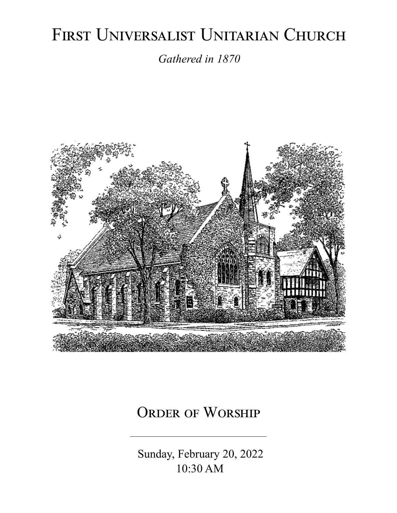# FIRST UNIVERSALIST UNITARIAN CHURCH

*Gathered in 1870*



# ORDER OF WORSHIP

 Sunday, February 20, 2022 10:30 AM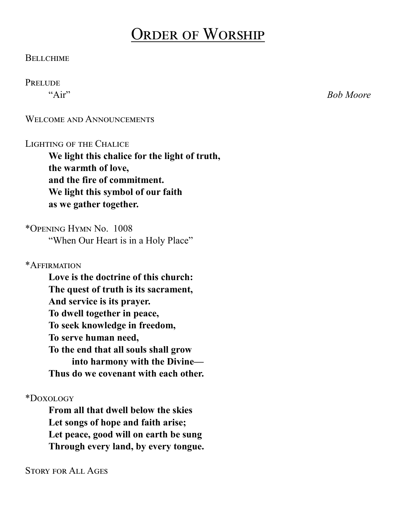# Order of Worship

#### **BELLCHIME**

#### **PRELUDE**

"Air" *Bob Moore*

WELCOME AND ANNOUNCEMENTS

#### LIGHTING OF THE CHALICE

**We light this chalice for the light of truth, the warmth of love, and the fire of commitment. We light this symbol of our faith as we gather together.**

\*Opening Hymn No. 1008 "When Our Heart is in a Holy Place"

\*Affirmation

**Love is the doctrine of this church: The quest of truth is its sacrament, And service is its prayer. To dwell together in peace, To seek knowledge in freedom, To serve human need, To the end that all souls shall grow into harmony with the Divine— Thus do we covenant with each other.**

\*Doxology

**From all that dwell below the skies Let songs of hope and faith arise; Let peace, good will on earth be sung Through every land, by every tongue.**

Story for All Ages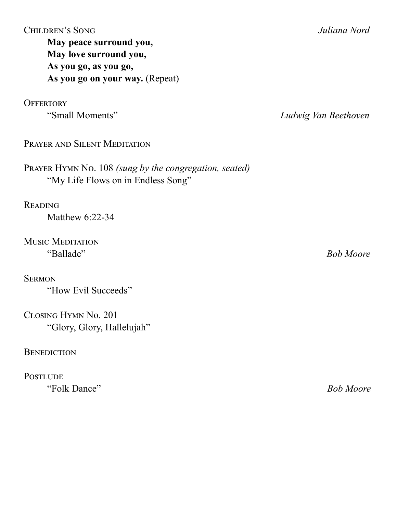| As you go, as you go,<br>As you go on your way. (Repeat)                                     |                      |
|----------------------------------------------------------------------------------------------|----------------------|
| <b>OFFERTORY</b><br>"Small Moments"                                                          | Ludwig Van Beethoven |
| PRAYER AND SILENT MEDITATION                                                                 |                      |
| PRAYER HYMN No. 108 (sung by the congregation, seated)<br>"My Life Flows on in Endless Song" |                      |
| <b>READING</b><br>Matthew 6:22-34                                                            |                      |
| <b>MUSIC MEDITATION</b>                                                                      |                      |
| "Ballade"<br><b>SERMON</b>                                                                   | <b>Bob Moore</b>     |
| "How Evil Succeeds"<br>CLOSING HYMN No. 201                                                  |                      |
| "Glory, Glory, Hallelujah"                                                                   |                      |

**May peace surround you, May love surround you,**

#### **BENEDICTION**

**POSTLUDE** "Folk Dance" *Bob Moore*

#### Children's Song *Juliana Nord*